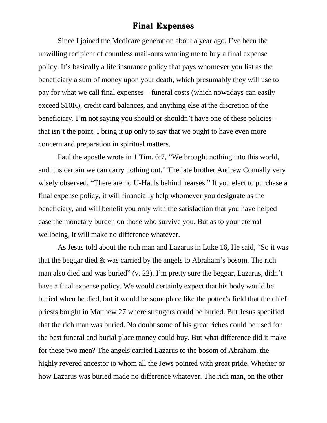## Final Expenses

Since I joined the Medicare generation about a year ago, I've been the unwilling recipient of countless mail-outs wanting me to buy a final expense policy. It's basically a life insurance policy that pays whomever you list as the beneficiary a sum of money upon your death, which presumably they will use to pay for what we call final expenses – funeral costs (which nowadays can easily exceed \$10K), credit card balances, and anything else at the discretion of the beneficiary. I'm not saying you should or shouldn't have one of these policies – that isn't the point. I bring it up only to say that we ought to have even more concern and preparation in spiritual matters.

Paul the apostle wrote in 1 Tim. 6:7, "We brought nothing into this world, and it is certain we can carry nothing out." The late brother Andrew Connally very wisely observed, "There are no U-Hauls behind hearses." If you elect to purchase a final expense policy, it will financially help whomever you designate as the beneficiary, and will benefit you only with the satisfaction that you have helped ease the monetary burden on those who survive you. But as to your eternal wellbeing, it will make no difference whatever.

As Jesus told about the rich man and Lazarus in Luke 16, He said, "So it was that the beggar died & was carried by the angels to Abraham's bosom. The rich man also died and was buried" (v. 22). I'm pretty sure the beggar, Lazarus, didn't have a final expense policy. We would certainly expect that his body would be buried when he died, but it would be someplace like the potter's field that the chief priests bought in Matthew 27 where strangers could be buried. But Jesus specified that the rich man was buried. No doubt some of his great riches could be used for the best funeral and burial place money could buy. But what difference did it make for these two men? The angels carried Lazarus to the bosom of Abraham, the highly revered ancestor to whom all the Jews pointed with great pride. Whether or how Lazarus was buried made no difference whatever. The rich man, on the other